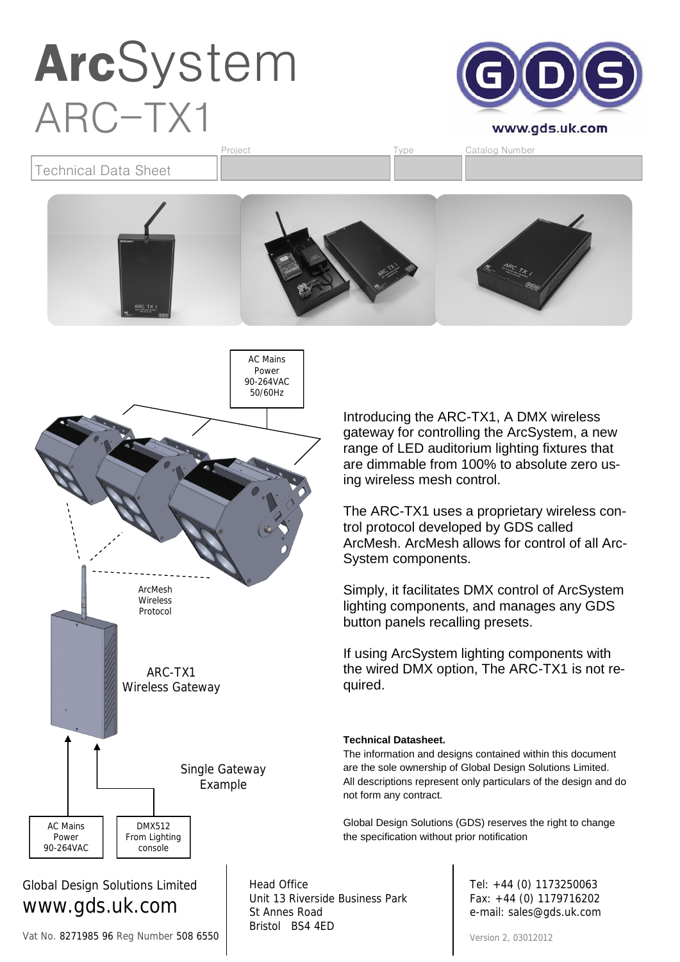

Technical Data Sheet Project **Type** Catalog Number





www.gds.uk.com Vat No. 8271985 96 Reg Number 508 6550 Unit 13 Riverside Business Park St Annes Road Bristol BS4 4ED

Introducing the ARC-TX1, A DMX wireless gateway for controlling the ArcSystem, a new range of LED auditorium lighting fixtures that are dimmable from 100% to absolute zero using wireless mesh control.

The ARC-TX1 uses a proprietary wireless control protocol developed by GDS called ArcMesh. ArcMesh allows for control of all Arc-System components.

Simply, it facilitates DMX control of ArcSystem lighting components, and manages any GDS button panels recalling presets.

If using ArcSystem lighting components with the wired DMX option, The ARC-TX1 is not required.

#### **Technical Datasheet.**

The information and designs contained within this document are the sole ownership of Global Design Solutions Limited. All descriptions represent only particulars of the design and do not form any contract.

Global Design Solutions (GDS) reserves the right to change the specification without prior notification

> Tel: +44 (0) 1173250063 Fax: +44 (0) 1179716202 e-mail: sales@gds.uk.com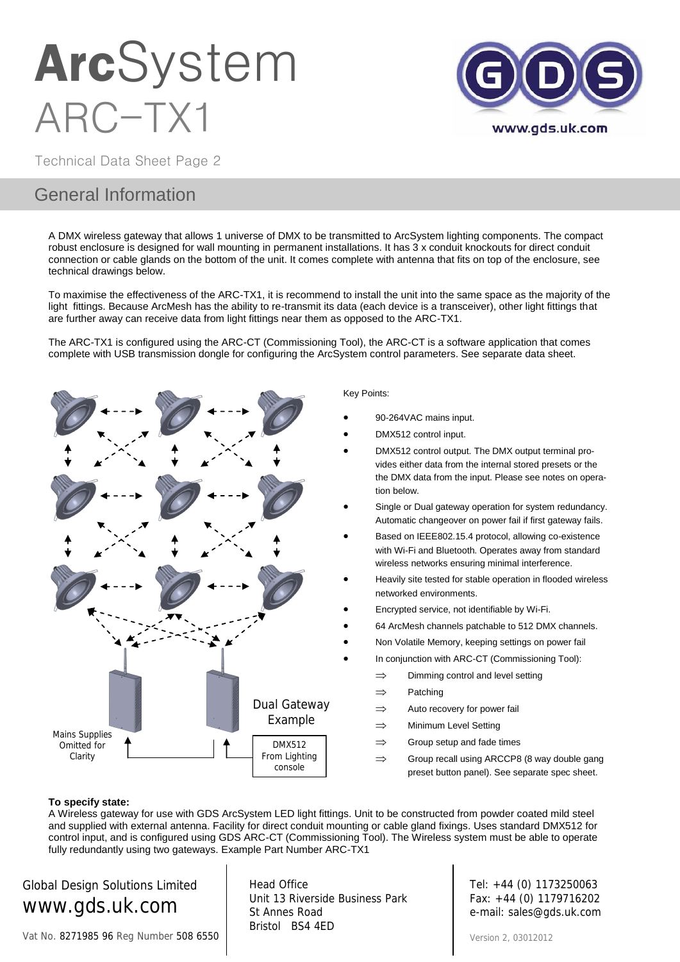

Technical Data Sheet Page 2

### General Information

A DMX wireless gateway that allows 1 universe of DMX to be transmitted to ArcSystem lighting components. The compact robust enclosure is designed for wall mounting in permanent installations. It has 3 x conduit knockouts for direct conduit connection or cable glands on the bottom of the unit. It comes complete with antenna that fits on top of the enclosure, see technical drawings below.

To maximise the effectiveness of the ARC-TX1, it is recommend to install the unit into the same space as the majority of the light fittings. Because ArcMesh has the ability to re-transmit its data (each device is a transceiver), other light fittings that are further away can receive data from light fittings near them as opposed to the ARC-TX1.

The ARC-TX1 is configured using the ARC-CT (Commissioning Tool), the ARC-CT is a software application that comes complete with USB transmission dongle for configuring the ArcSystem control parameters. See separate data sheet.



#### Key Points:

- 90-264VAC mains input.
- DMX512 control input.
- DMX512 control output. The DMX output terminal provides either data from the internal stored presets or the the DMX data from the input. Please see notes on operation below.
- Single or Dual gateway operation for system redundancy. Automatic changeover on power fail if first gateway fails.
- Based on IEEE802.15.4 protocol, allowing co-existence with Wi-Fi and Bluetooth. Operates away from standard wireless networks ensuring minimal interference.
- Heavily site tested for stable operation in flooded wireless networked environments.
- Encrypted service, not identifiable by Wi-Fi.
- 64 ArcMesh channels patchable to 512 DMX channels.
- Non Volatile Memory, keeping settings on power fail
- In conjunction with ARC-CT (Commissioning Tool):
	- $\implies$  Dimming control and level setting
	- $\Rightarrow$  Patching
	- $\Rightarrow$  Auto recovery for power fail
	- $\Rightarrow$  Minimum Level Setting
	- $\Rightarrow$  Group setup and fade times
	- $\Rightarrow$  Group recall using ARCCP8 (8 way double gang preset button panel). See separate spec sheet.

#### **To specify state:**

A Wireless gateway for use with GDS ArcSystem LED light fittings. Unit to be constructed from powder coated mild steel and supplied with external antenna. Facility for direct conduit mounting or cable gland fixings. Uses standard DMX512 for control input, and is configured using GDS ARC-CT (Commissioning Tool). The Wireless system must be able to operate fully redundantly using two gateways. Example Part Number ARC-TX1

Global Design Solutions Limited www.gds.uk.com

Vat No. 8271985 96 Reg Number 508 6550

Head Office Unit 13 Riverside Business Park St Annes Road Bristol BS4 4ED

Tel: +44 (0) 1173250063 Fax: +44 (0) 1179716202 e-mail: sales@gds.uk.com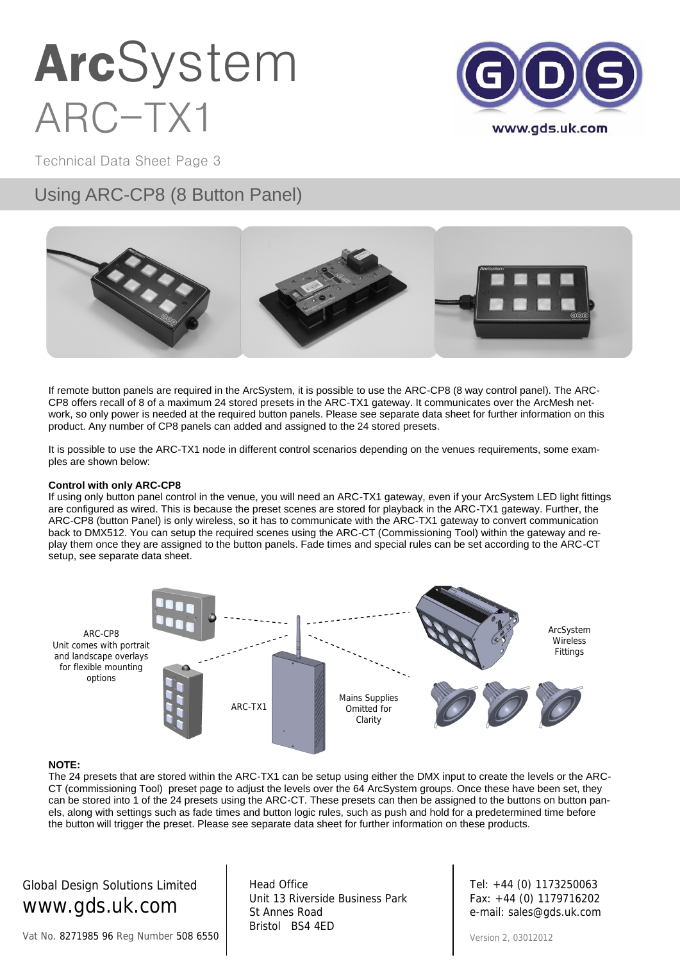

Technical Data Sheet Page 3

### Using ARC-CP8 (8 Button Panel)



If remote button panels are required in the ArcSystem, it is possible to use the ARC-CP8 (8 way control panel). The ARC-CP8 offers recall of 8 of a maximum 24 stored presets in the ARC-TX1 gateway. It communicates over the ArcMesh network, so only power is needed at the required button panels. Please see separate data sheet for further information on this product. Any number of CP8 panels can added and assigned to the 24 stored presets.

It is possible to use the ARC-TX1 node in different control scenarios depending on the venues requirements, some examples are shown below:

#### **Control with only ARC-CP8**

If using only button panel control in the venue, you will need an ARC-TX1 gateway, even if your ArcSystem LED light fittings are configured as wired. This is because the preset scenes are stored for playback in the ARC-TX1 gateway. Further, the ARC-CP8 (button Panel) is only wireless, so it has to communicate with the ARC-TX1 gateway to convert communication back to DMX512. You can setup the required scenes using the ARC-CT (Commissioning Tool) within the gateway and replay them once they are assigned to the button panels. Fade times and special rules can be set according to the ARC-CT setup, see separate data sheet.



#### **NOTE:**

The 24 presets that are stored within the ARC-TX1 can be setup using either the DMX input to create the levels or the ARC-CT (commissioning Tool) preset page to adjust the levels over the 64 ArcSystem groups. Once these have been set, they can be stored into 1 of the 24 presets using the ARC-CT. These presets can then be assigned to the buttons on button panels, along with settings such as fade times and button logic rules, such as push and hold for a predetermined time before the button will trigger the preset. Please see separate data sheet for further information on these products.

Global Design Solutions Limited www.gds.uk.com

Head Office Unit 13 Riverside Business Park St Annes Road Bristol BS4 4ED

Tel: +44 (0) 1173250063 Fax: +44 (0) 1179716202 e-mail: sales@gds.uk.com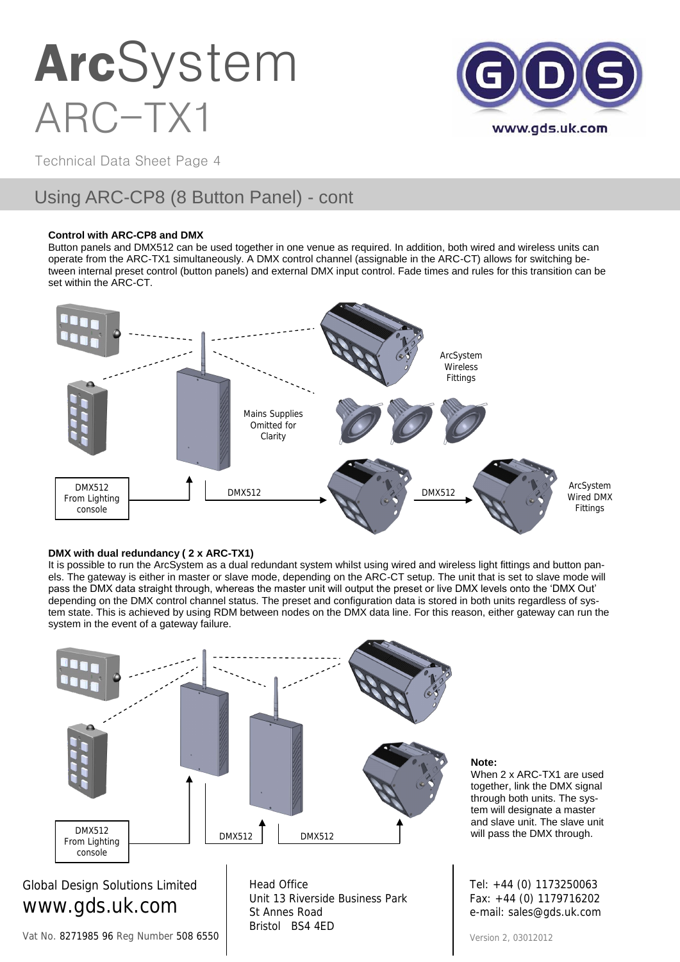

Technical Data Sheet Page 4

### Using ARC-CP8 (8 Button Panel) - cont

#### **Control with ARC-CP8 and DMX**

Button panels and DMX512 can be used together in one venue as required. In addition, both wired and wireless units can operate from the ARC-TX1 simultaneously. A DMX control channel (assignable in the ARC-CT) allows for switching between internal preset control (button panels) and external DMX input control. Fade times and rules for this transition can be set within the ARC-CT.



#### **DMX with dual redundancy ( 2 x ARC-TX1)**

It is possible to run the ArcSystem as a dual redundant system whilst using wired and wireless light fittings and button panels. The gateway is either in master or slave mode, depending on the ARC-CT setup. The unit that is set to slave mode will pass the DMX data straight through, whereas the master unit will output the preset or live DMX levels onto the 'DMX Out' depending on the DMX control channel status. The preset and configuration data is stored in both units regardless of system state. This is achieved by using RDM between nodes on the DMX data line. For this reason, either gateway can run the system in the event of a gateway failure.



#### **Note:**

When 2 x ARC-TX1 are used together, link the DMX signal through both units. The system will designate a master and slave unit. The slave unit will pass the DMX through.

Tel: +44 (0) 1173250063 Fax: +44 (0) 1179716202 e-mail: sales@gds.uk.com

Vat No. 8271985 96 Reg Number 508 6550

Bristol BS4 4ED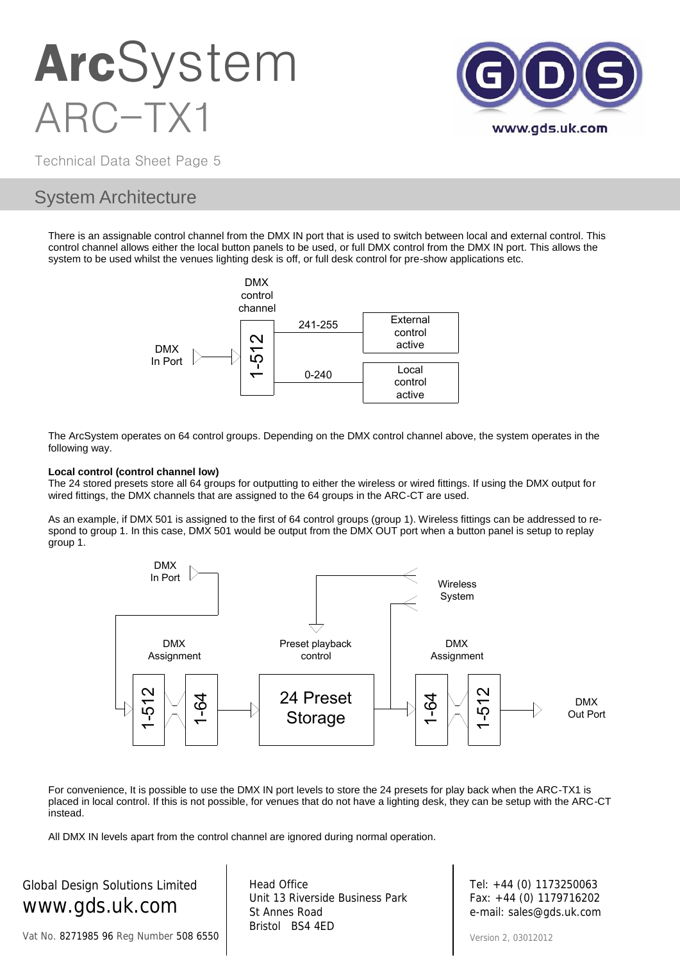

Technical Data Sheet Page 5

### System Architecture

There is an assignable control channel from the DMX IN port that is used to switch between local and external control. This control channel allows either the local button panels to be used, or full DMX control from the DMX IN port. This allows the system to be used whilst the venues lighting desk is off, or full desk control for pre-show applications etc.



The ArcSystem operates on 64 control groups. Depending on the DMX control channel above, the system operates in the following way.

#### **Local control (control channel low)**

The 24 stored presets store all 64 groups for outputting to either the wireless or wired fittings. If using the DMX output for wired fittings, the DMX channels that are assigned to the 64 groups in the ARC-CT are used.

As an example, if DMX 501 is assigned to the first of 64 control groups (group 1). Wireless fittings can be addressed to respond to group 1. In this case, DMX 501 would be output from the DMX OUT port when a button panel is setup to replay group 1.



For convenience, It is possible to use the DMX IN port levels to store the 24 presets for play back when the ARC-TX1 is placed in local control. If this is not possible, for venues that do not have a lighting desk, they can be setup with the ARC-CT instead.

All DMX IN levels apart from the control channel are ignored during normal operation.

Global Design Solutions Limited www.gds.uk.com

Vat No. 8271985 96 Reg Number 508 6550

Head Office Unit 13 Riverside Business Park St Annes Road Bristol BS4 4ED

Tel: +44 (0) 1173250063 Fax: +44 (0) 1179716202 e-mail: sales@gds.uk.com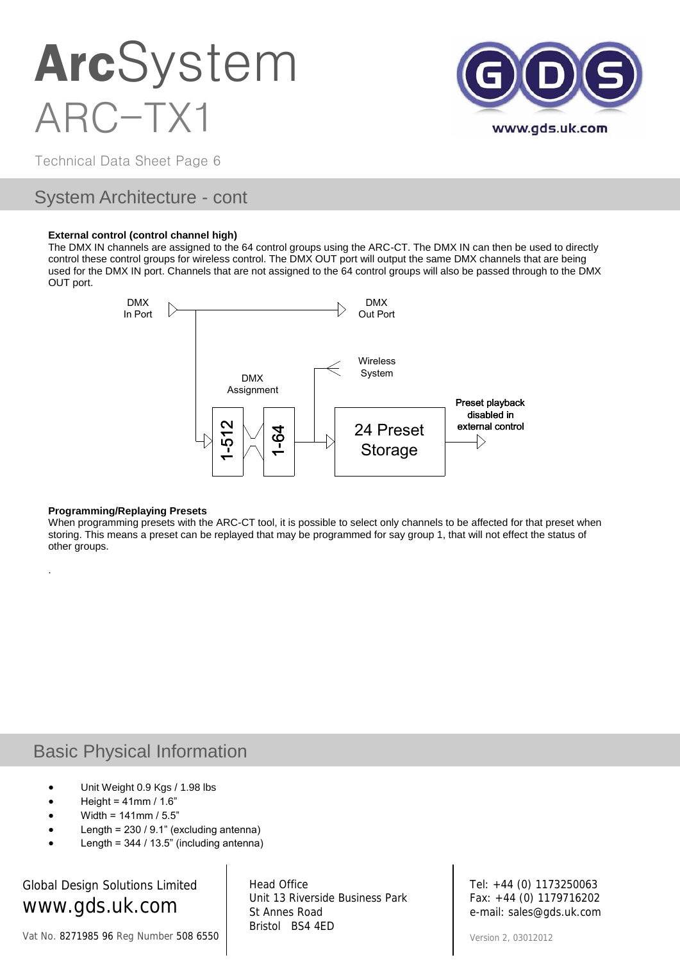

Technical Data Sheet Page 6

### System Architecture - cont

#### **External control (control channel high)**

The DMX IN channels are assigned to the 64 control groups using the ARC-CT. The DMX IN can then be used to directly control these control groups for wireless control. The DMX OUT port will output the same DMX channels that are being used for the DMX IN port. Channels that are not assigned to the 64 control groups will also be passed through to the DMX OUT port.



#### **Programming/Replaying Presets**

.

When programming presets with the ARC-CT tool, it is possible to select only channels to be affected for that preset when storing. This means a preset can be replayed that may be programmed for say group 1, that will not effect the status of other groups.

### Basic Physical Information

- Unit Weight 0.9 Kgs / 1.98 lbs
- Height =  $41$ mm /  $1.6"$
- Width = 141mm / 5.5"
- Length = 230 / 9.1" (excluding antenna)
- Length = 344 / 13.5" (including antenna)

Global Design Solutions Limited www.gds.uk.com

Vat No. 8271985 96 Reg Number 508 6550

Head Office Unit 13 Riverside Business Park St Annes Road Bristol BS4 4ED

Tel: +44 (0) 1173250063 Fax: +44 (0) 1179716202 e-mail: sales@gds.uk.com